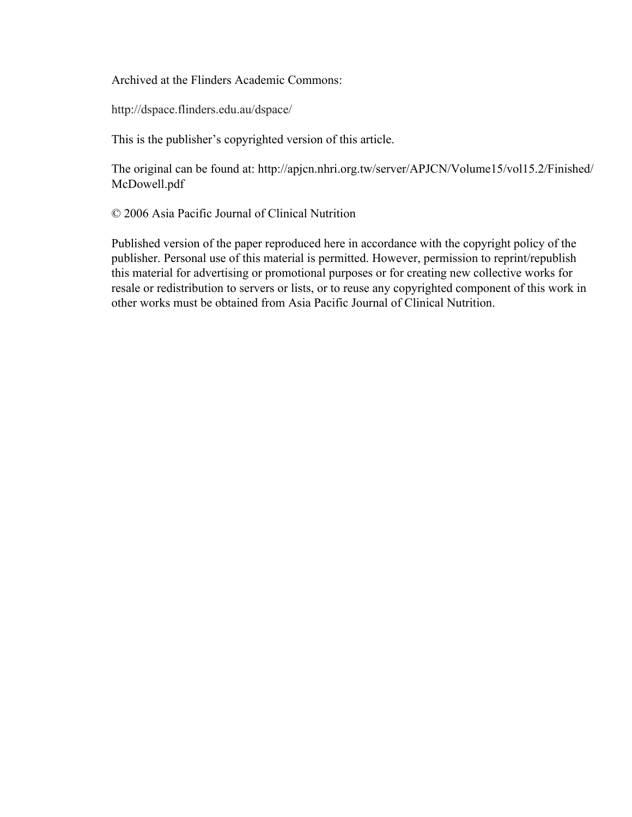Archived at the Flinders Academic Commons:

http://dspace.flinders.edu.au/dspace/

This is the publisher's copyrighted version of this article.

The original can be found at: http://apjcn.nhri.org.tw/server/APJCN/Volume15/vol15.2/Finished/ McDowell.pdf

© 2006 Asia Pacific Journal of Clinical Nutrition

Published version of the paper reproduced here in accordance with the copyright policy of the publisher. Personal use of this material is permitted. However, permission to reprint/republish this material for advertising or promotional purposes or for creating new collective works for resale or redistribution to servers or lists, or to reuse any copyrighted component of this work in other works must be obtained from Asia Pacific Journal of Clinical Nutrition.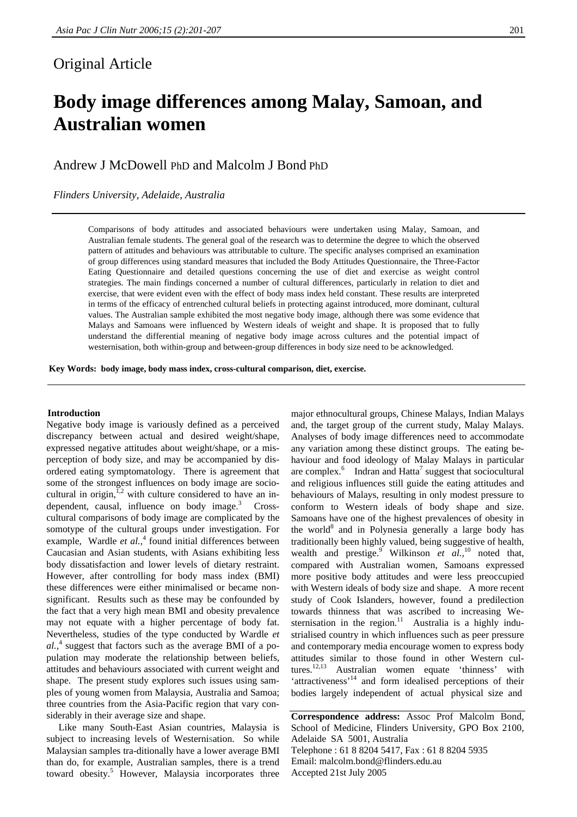# Original Article

# **Body image differences among Malay, Samoan, and Australian women**

Andrew J McDowell PhD and Malcolm J Bond PhD

*Flinders University, Adelaide, Australia*

Comparisons of body attitudes and associated behaviours were undertaken using Malay, Samoan, and Australian female students. The general goal of the research was to determine the degree to which the observed pattern of attitudes and behaviours was attributable to culture. The specific analyses comprised an examination of group differences using standard measures that included the Body Attitudes Questionnaire, the Three-Factor Eating Questionnaire and detailed questions concerning the use of diet and exercise as weight control strategies. The main findings concerned a number of cultural differences, particularly in relation to diet and exercise, that were evident even with the effect of body mass index held constant. These results are interpreted in terms of the efficacy of entrenched cultural beliefs in protecting against introduced, more dominant, cultural values. The Australian sample exhibited the most negative body image, although there was some evidence that Malays and Samoans were influenced by Western ideals of weight and shape. It is proposed that to fully understand the differential meaning of negative body image across cultures and the potential impact of westernisation, both within-group and between-group differences in body size need to be acknowledged.

**Key Words: body image, body mass index, cross-cultural comparison, diet, exercise.**

#### **Introduction**

Negative body image is variously defined as a perceived discrepancy between actual and desired weight/shape, expressed negative attitudes about weight/shape, or a misperception of body size, and may be accompanied by disordered eating symptomatology. There is agreement that some of the strongest influences on body image are sociocultural in origin, $\overline{1,2}$  with culture considered to have an independent, causal, influence on body image.<sup>3</sup> Crosscultural comparisons of body image are complicated by the somotype of the cultural groups under investigation. For example, Wardle *et al.*,<sup>4</sup> found initial differences between Caucasian and Asian students, with Asians exhibiting less body dissatisfaction and lower levels of dietary restraint. However, after controlling for body mass index (BMI) these differences were either minimalised or became nonsignificant. Results such as these may be confounded by the fact that a very high mean BMI and obesity prevalence may not equate with a higher percentage of body fat. Nevertheless, studies of the type conducted by Wardle *et al.,*<sup>4</sup> suggest that factors such as the average BMI of a population may moderate the relationship between beliefs, attitudes and behaviours associated with current weight and shape. The present study explores such issues using samples of young women from Malaysia, Australia and Samoa; three countries from the Asia-Pacific region that vary considerably in their average size and shape.

 Like many South-East Asian countries, Malaysia is subject to increasing levels of Westernisation. So while Malaysian samples tra-ditionally have a lower average BMI than do, for example, Australian samples, there is a trend toward obesity.<sup>5</sup> However, Malaysia incorporates three major ethnocultural groups, Chinese Malays, Indian Malays and, the target group of the current study, Malay Malays. Analyses of body image differences need to accommodate any variation among these distinct groups. The eating behaviour and food ideology of Malay Malays in particular are complex. $\delta$  Indran and Hatta<sup>7</sup> suggest that sociocultural and religious influences still guide the eating attitudes and behaviours of Malays, resulting in only modest pressure to conform to Western ideals of body shape and size. Samoans have one of the highest prevalences of obesity in the world<sup>8</sup> and in Polynesia generally a large body has traditionally been highly valued, being suggestive of health, wealth and prestige.<sup>9</sup> Wilkinson *et al.*,<sup>10</sup> noted that, compared with Australian women, Samoans expressed more positive body attitudes and were less preoccupied with Western ideals of body size and shape. A more recent study of Cook Islanders, however, found a predilection towards thinness that was ascribed to increasing Westernisation in the region.<sup>11</sup> Australia is a highly industrialised country in which influences such as peer pressure and contemporary media encourage women to express body attitudes similar to those found in other Western cultures.12,13 Australian women equate 'thinness' with 'attractiveness'<sup>14</sup> and form idealised perceptions of their bodies largely independent of actual physical size and

**Correspondence address:** Assoc Prof Malcolm Bond, School of Medicine, Flinders University, GPO Box 2100, Adelaide SA 5001, Australia Telephone : 61 8 8204 5417, Fax : 61 8 8204 5935 Email: malcolm.bond@flinders.edu.au Accepted 21st July 2005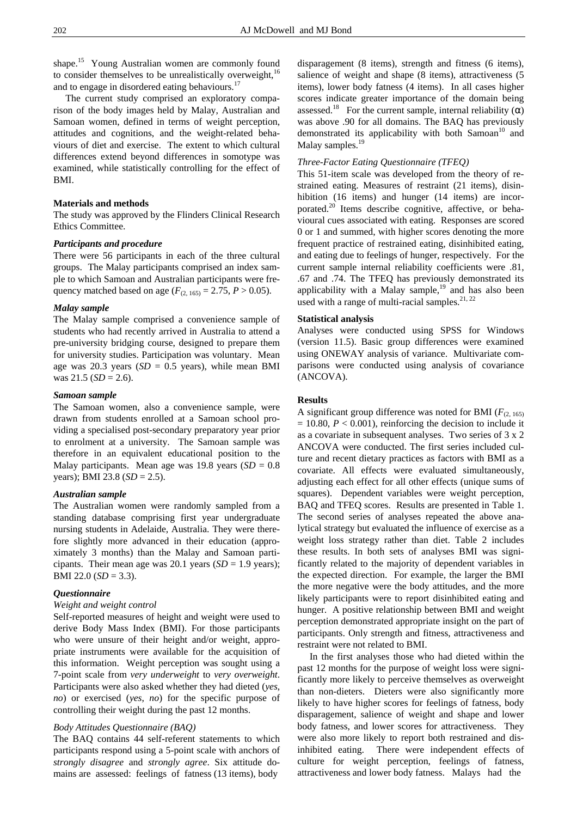shape.<sup>15</sup> Young Australian women are commonly found to consider themselves to be unrealistically overweight, $16$ and to engage in disordered eating behaviours. $^{17}$ 

 The current study comprised an exploratory comparison of the body images held by Malay, Australian and Samoan women, defined in terms of weight perception, attitudes and cognitions, and the weight-related behaviours of diet and exercise. The extent to which cultural differences extend beyond differences in somotype was examined, while statistically controlling for the effect of BMI.

#### **Materials and methods**

The study was approved by the Flinders Clinical Research Ethics Committee.

### *Participants and procedure*

There were 56 participants in each of the three cultural groups. The Malay participants comprised an index sample to which Samoan and Australian participants were frequency matched based on age ( $F_{(2, 165)} = 2.75$ ,  $P > 0.05$ ).

#### *Malay sample*

The Malay sample comprised a convenience sample of students who had recently arrived in Australia to attend a pre-university bridging course, designed to prepare them for university studies. Participation was voluntary. Mean age was  $20.3$  years ( $SD = 0.5$  years), while mean BMI was  $21.5$  ( $SD = 2.6$ ).

#### *Samoan sample*

The Samoan women, also a convenience sample, were drawn from students enrolled at a Samoan school providing a specialised post-secondary preparatory year prior to enrolment at a university. The Samoan sample was therefore in an equivalent educational position to the Malay participants. Mean age was 19.8 years  $(SD = 0.8)$ years); BMI 23.8 (*SD* = 2.5).

## *Australian sample*

The Australian women were randomly sampled from a standing database comprising first year undergraduate nursing students in Adelaide, Australia. They were therefore slightly more advanced in their education (approximately 3 months) than the Malay and Samoan participants. Their mean age was 20.1 years  $(SD = 1.9$  years); BMI 22.0 (*SD* = 3.3).

# *Questionnaire*

# *Weight and weight control*

Self-reported measures of height and weight were used to derive Body Mass Index (BMI). For those participants who were unsure of their height and/or weight, appropriate instruments were available for the acquisition of this information. Weight perception was sought using a 7-point scale from *very underweight* to *very overweight*. Participants were also asked whether they had dieted (*yes*, *no*) or exercised (*yes*, *no*) for the specific purpose of controlling their weight during the past 12 months.

# *Body Attitudes Questionnaire (BAQ)*

The BAQ contains 44 self-referent statements to which participants respond using a 5-point scale with anchors of *strongly disagree* and *strongly agree*. Six attitude domains are assessed: feelings of fatness (13 items), body

disparagement (8 items), strength and fitness (6 items), salience of weight and shape (8 items), attractiveness (5 items), lower body fatness (4 items). In all cases higher scores indicate greater importance of the domain being assessed.<sup>18</sup> For the current sample, internal reliability  $(\alpha)$ was above .90 for all domains. The BAQ has previously demonstrated its applicability with both  $Samoan<sup>10</sup>$  and Malay samples.<sup>19</sup>

#### *Three-Factor Eating Questionnaire (TFEQ)*

This 51-item scale was developed from the theory of restrained eating. Measures of restraint (21 items), disinhibition (16 items) and hunger (14 items) are incorporated.<sup>20</sup> Items describe cognitive, affective, or behavioural cues associated with eating. Responses are scored 0 or 1 and summed, with higher scores denoting the more frequent practice of restrained eating, disinhibited eating, and eating due to feelings of hunger, respectively. For the current sample internal reliability coefficients were .81, .67 and .74. The TFEQ has previously demonstrated its applicability with a Malay sample, $19$  and has also been used with a range of multi-racial samples. $21, 22$ 

# **Statistical analysis**

Analyses were conducted using SPSS for Windows (version 11.5). Basic group differences were examined using ONEWAY analysis of variance. Multivariate comparisons were conducted using analysis of covariance (ANCOVA).

### **Results**

A significant group difference was noted for BMI  $(F_{(2, 165)})$  $= 10.80, P < 0.001$ , reinforcing the decision to include it as a covariate in subsequent analyses. Two series of 3 x 2 ANCOVA were conducted. The first series included culture and recent dietary practices as factors with BMI as a covariate. All effects were evaluated simultaneously, adjusting each effect for all other effects (unique sums of squares). Dependent variables were weight perception, BAQ and TFEQ scores. Results are presented in Table 1. The second series of analyses repeated the above analytical strategy but evaluated the influence of exercise as a weight loss strategy rather than diet. Table 2 includes these results. In both sets of analyses BMI was significantly related to the majority of dependent variables in the expected direction. For example, the larger the BMI the more negative were the body attitudes, and the more likely participants were to report disinhibited eating and hunger. A positive relationship between BMI and weight perception demonstrated appropriate insight on the part of participants. Only strength and fitness, attractiveness and restraint were not related to BMI.

 In the first analyses those who had dieted within the past 12 months for the purpose of weight loss were significantly more likely to perceive themselves as overweight than non-dieters. Dieters were also significantly more likely to have higher scores for feelings of fatness, body disparagement, salience of weight and shape and lower body fatness, and lower scores for attractiveness. They were also more likely to report both restrained and disinhibited eating. There were independent effects of culture for weight perception, feelings of fatness, attractiveness and lower body fatness. Malays had the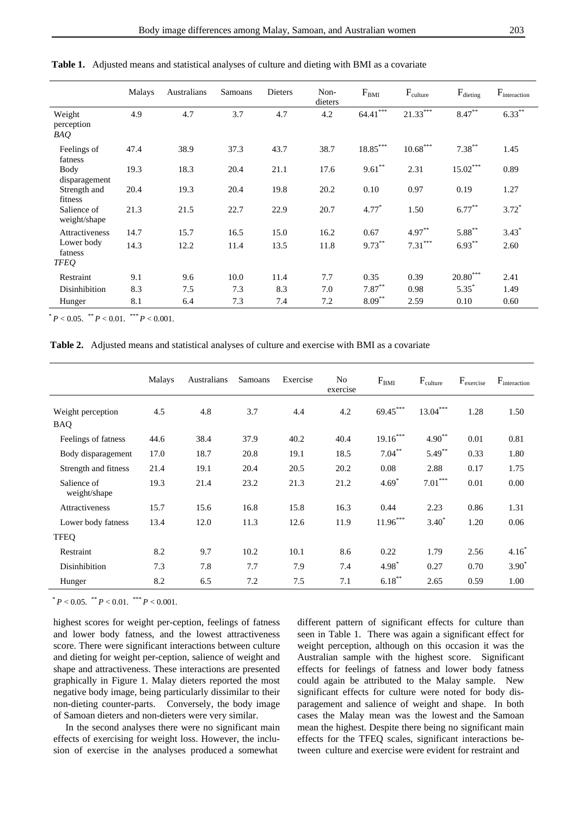|                                      | <b>Malays</b> | Australians | Samoans | Dieters | Non-<br>dieters | $F_{BM}$       | $F_{\text{culture}}$ | $F_{\text{dieting}}$ | $F_{interaction}$ |
|--------------------------------------|---------------|-------------|---------|---------|-----------------|----------------|----------------------|----------------------|-------------------|
| Weight<br>perception<br>BAQ          | 4.9           | 4.7         | 3.7     | 4.7     | 4.2             | $***$<br>64.41 | $21.33***$           | $8.47***$            | $6.33***$         |
| Feelings of<br>fatness               | 47.4          | 38.9        | 37.3    | 43.7    | 38.7            | $18.85***$     | $10.68***$           | $7.38***$            | 1.45              |
| Body<br>disparagement                | 19.3          | 18.3        | 20.4    | 21.1    | 17.6            | $9.61***$      | 2.31                 | $15.02***$           | 0.89              |
| Strength and<br>fitness              | 20.4          | 19.3        | 20.4    | 19.8    | 20.2            | 0.10           | 0.97                 | 0.19                 | 1.27              |
| Salience of<br>weight/shape          | 21.3          | 21.5        | 22.7    | 22.9    | 20.7            | $4.77*$        | 1.50                 | $6.77***$            | $3.72*$           |
| Attractiveness                       | 14.7          | 15.7        | 16.5    | 15.0    | 16.2            | 0.67           | $4.97***$            | $5.88***$            | $3.43*$           |
| Lower body<br>fatness<br><b>TFEQ</b> | 14.3          | 12.2        | 11.4    | 13.5    | 11.8            | $9.73***$      | $7.31***$            | $6.93***$            | 2.60              |
| Restraint                            | 9.1           | 9.6         | 10.0    | 11.4    | 7.7             | 0.35           | 0.39                 | $20.80***$           | 2.41              |
| Disinhibition                        | 8.3           | 7.5         | 7.3     | 8.3     | 7.0             | $7.87***$      | 0.98                 | $5.35*$              | 1.49              |
| Hunger                               | 8.1           | 6.4         | 7.3     | 7.4     | 7.2             | $8.09***$      | 2.59                 | 0.10                 | 0.60              |

**Table 1.** Adjusted means and statistical analyses of culture and dieting with BMI as a covariate

 $*$   $P < 0.05$ .  $*$   $*$   $P < 0.01$ .  $*$   $*$   $*$   $P < 0.001$ .

**Table 2.** Adjusted means and statistical analyses of culture and exercise with BMI as a covariate

|                                 | Malays | Australians | Samoans | Exercise | N <sub>o</sub><br>exercise | $F_{BMI}$  | $F_{\text{culture}}$ | $F_{\rm exercise}$ | $F_{interaction}$ |
|---------------------------------|--------|-------------|---------|----------|----------------------------|------------|----------------------|--------------------|-------------------|
| Weight perception<br><b>BAQ</b> | 4.5    | 4.8         | 3.7     | 4.4      | 4.2                        | $69.45***$ | $13.04***$           | 1.28               | 1.50              |
| Feelings of fatness             | 44.6   | 38.4        | 37.9    | 40.2     | 40.4                       | $19.16***$ | $4.90**$             | 0.01               | 0.81              |
| Body disparagement              | 17.0   | 18.7        | 20.8    | 19.1     | 18.5                       | $7.04***$  | $5.49***$            | 0.33               | 1.80              |
| Strength and fitness            | 21.4   | 19.1        | 20.4    | 20.5     | 20.2                       | 0.08       | 2.88                 | 0.17               | 1.75              |
| Salience of<br>weight/shape     | 19.3   | 21.4        | 23.2    | 21.3     | 21.2                       | $4.69*$    | $7.01***$            | 0.01               | 0.00              |
| Attractiveness                  | 15.7   | 15.6        | 16.8    | 15.8     | 16.3                       | 0.44       | 2.23                 | 0.86               | 1.31              |
| Lower body fatness              | 13.4   | 12.0        | 11.3    | 12.6     | 11.9                       | $11.96***$ | $3.40*$              | 1.20               | 0.06              |
| TFEO                            |        |             |         |          |                            |            |                      |                    |                   |
| Restraint                       | 8.2    | 9.7         | 10.2    | 10.1     | 8.6                        | 0.22       | 1.79                 | 2.56               | $4.16*$           |
| Disinhibition                   | 7.3    | 7.8         | 7.7     | 7.9      | 7.4                        | $4.98^*$   | 0.27                 | 0.70               | $3.90*$           |
| Hunger                          | 8.2    | 6.5         | 7.2     | 7.5      | 7.1                        | $6.18***$  | 2.65                 | 0.59               | 1.00              |

 $*$   $P < 0.05$ .  $*$   $*$   $P < 0.01$ .  $*$   $*$   $*$   $P < 0.001$ .

highest scores for weight per-ception, feelings of fatness and lower body fatness, and the lowest attractiveness score. There were significant interactions between culture and dieting for weight per-ception, salience of weight and shape and attractiveness. These interactions are presented graphically in Figure 1. Malay dieters reported the most negative body image, being particularly dissimilar to their non-dieting counter-parts. Conversely, the body image of Samoan dieters and non-dieters were very similar.

 In the second analyses there were no significant main effects of exercising for weight loss. However, the inclusion of exercise in the analyses produced a somewhat

different pattern of significant effects for culture than seen in Table 1. There was again a significant effect for weight perception, although on this occasion it was the Australian sample with the highest score. Significant effects for feelings of fatness and lower body fatness could again be attributed to the Malay sample. New significant effects for culture were noted for body disparagement and salience of weight and shape. In both cases the Malay mean was the lowest and the Samoan mean the highest. Despite there being no significant main effects for the TFEQ scales, significant interactions between culture and exercise were evident for restraint and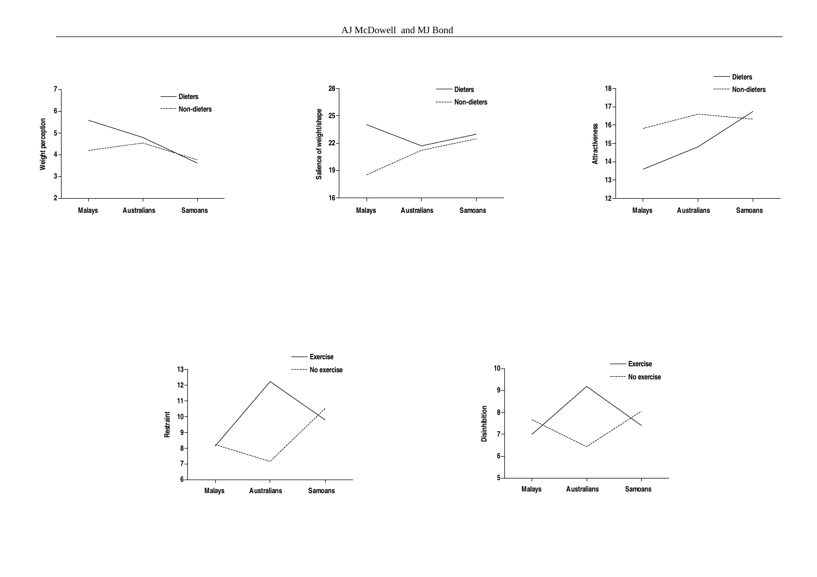



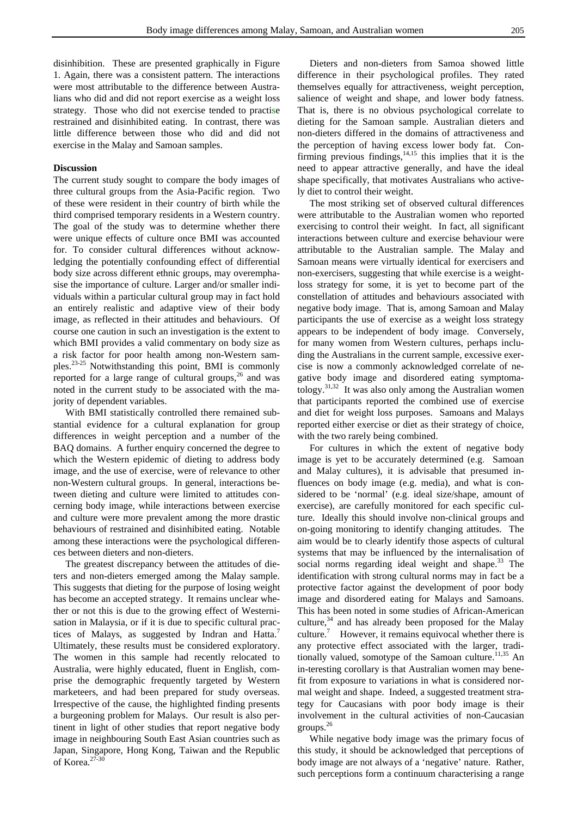disinhibition. These are presented graphically in Figure 1. Again, there was a consistent pattern. The interactions were most attributable to the difference between Australians who did and did not report exercise as a weight loss strategy. Those who did not exercise tended to practise restrained and disinhibited eating. In contrast, there was little difference between those who did and did not exercise in the Malay and Samoan samples.

# **Discussion**

The current study sought to compare the body images of three cultural groups from the Asia-Pacific region. Two of these were resident in their country of birth while the third comprised temporary residents in a Western country. The goal of the study was to determine whether there were unique effects of culture once BMI was accounted for. To consider cultural differences without acknowledging the potentially confounding effect of differential body size across different ethnic groups, may overemphasise the importance of culture. Larger and/or smaller individuals within a particular cultural group may in fact hold an entirely realistic and adaptive view of their body image, as reflected in their attitudes and behaviours. Of course one caution in such an investigation is the extent to which BMI provides a valid commentary on body size as a risk factor for poor health among non-Western samples.23-25 Notwithstanding this point, BMI is commonly reported for a large range of cultural groups,  $26$  and was noted in the current study to be associated with the majority of dependent variables.

 With BMI statistically controlled there remained substantial evidence for a cultural explanation for group differences in weight perception and a number of the BAQ domains. A further enquiry concerned the degree to which the Western epidemic of dieting to address body image, and the use of exercise, were of relevance to other non-Western cultural groups. In general, interactions between dieting and culture were limited to attitudes concerning body image, while interactions between exercise and culture were more prevalent among the more drastic behaviours of restrained and disinhibited eating. Notable among these interactions were the psychological differences between dieters and non-dieters.

 The greatest discrepancy between the attitudes of dieters and non-dieters emerged among the Malay sample. This suggests that dieting for the purpose of losing weight has become an accepted strategy. It remains unclear whether or not this is due to the growing effect of Westernisation in Malaysia, or if it is due to specific cultural practices of Malays, as suggested by Indran and Hatta.<sup>7</sup> Ultimately, these results must be considered exploratory. The women in this sample had recently relocated to Australia, were highly educated, fluent in English, comprise the demographic frequently targeted by Western marketeers, and had been prepared for study overseas. Irrespective of the cause, the highlighted finding presents a burgeoning problem for Malays. Our result is also pertinent in light of other studies that report negative body image in neighbouring South East Asian countries such as Japan, Singapore, Hong Kong, Taiwan and the Republic of Korea.27-30

 Dieters and non-dieters from Samoa showed little difference in their psychological profiles. They rated themselves equally for attractiveness, weight perception, salience of weight and shape, and lower body fatness. That is, there is no obvious psychological correlate to dieting for the Samoan sample. Australian dieters and non-dieters differed in the domains of attractiveness and the perception of having excess lower body fat. Confirming previous findings, $14,15$  this implies that it is the need to appear attractive generally, and have the ideal shape specifically, that motivates Australians who actively diet to control their weight.

 The most striking set of observed cultural differences were attributable to the Australian women who reported exercising to control their weight. In fact, all significant interactions between culture and exercise behaviour were attributable to the Australian sample. The Malay and Samoan means were virtually identical for exercisers and non-exercisers, suggesting that while exercise is a weightloss strategy for some, it is yet to become part of the constellation of attitudes and behaviours associated with negative body image. That is, among Samoan and Malay participants the use of exercise as a weight loss strategy appears to be independent of body image. Conversely, for many women from Western cultures, perhaps including the Australians in the current sample, excessive exercise is now a commonly acknowledged correlate of negative body image and disordered eating symptomatology.<sup>31,32</sup> It was also only among the Australian women that participants reported the combined use of exercise and diet for weight loss purposes. Samoans and Malays reported either exercise or diet as their strategy of choice, with the two rarely being combined.

 For cultures in which the extent of negative body image is yet to be accurately determined (e.g. Samoan and Malay cultures), it is advisable that presumed influences on body image (e.g. media), and what is considered to be 'normal' (e.g. ideal size/shape, amount of exercise), are carefully monitored for each specific culture. Ideally this should involve non-clinical groups and on-going monitoring to identify changing attitudes. The aim would be to clearly identify those aspects of cultural systems that may be influenced by the internalisation of social norms regarding ideal weight and shape.<sup>33</sup> The identification with strong cultural norms may in fact be a protective factor against the development of poor body image and disordered eating for Malays and Samoans. This has been noted in some studies of African-American culture, $34$  and has already been proposed for the Malay culture.<sup>7</sup> However, it remains equivocal whether there is any protective effect associated with the larger, traditionally valued, somotype of the Samoan culture.<sup>11,35</sup> An in-teresting corollary is that Australian women may benefit from exposure to variations in what is considered normal weight and shape. Indeed, a suggested treatment strategy for Caucasians with poor body image is their involvement in the cultural activities of non-Caucasian groups.<sup>26</sup>

 While negative body image was the primary focus of this study, it should be acknowledged that perceptions of body image are not always of a 'negative' nature. Rather, such perceptions form a continuum characterising a range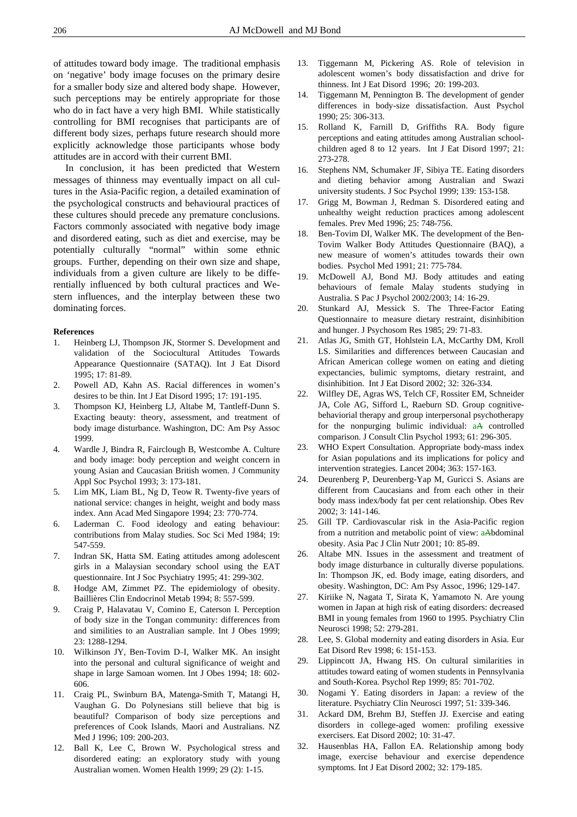of attitudes toward body image. The traditional emphasis on 'negative' body image focuses on the primary desire for a smaller body size and altered body shape. However, such perceptions may be entirely appropriate for those who do in fact have a very high BMI. While statistically controlling for BMI recognises that participants are of different body sizes, perhaps future research should more explicitly acknowledge those participants whose body attitudes are in accord with their current BMI.

 In conclusion, it has been predicted that Western messages of thinness may eventually impact on all cultures in the Asia-Pacific region, a detailed examination of the psychological constructs and behavioural practices of these cultures should precede any premature conclusions. Factors commonly associated with negative body image and disordered eating, such as diet and exercise, may be potentially culturally "normal" within some ethnic groups. Further, depending on their own size and shape, individuals from a given culture are likely to be differentially influenced by both cultural practices and Western influences, and the interplay between these two dominating forces.

#### **References**

- 1. Heinberg LJ, Thompson JK, Stormer S. Development and validation of the Sociocultural Attitudes Towards Appearance Questionnaire (SATAQ). Int J Eat Disord 1995; 17: 81-89.
- 2. Powell AD, Kahn AS. Racial differences in women's desires to be thin. Int J Eat Disord 1995; 17: 191-195.
- 3. Thompson KJ, Heinberg LJ, Altabe M, Tantleff-Dunn S. Exacting beauty: theory, assessment, and treatment of body image disturbance. Washington, DC: Am Psy Assoc 1999.
- 4. Wardle J, Bindra R, Fairclough B, Westcombe A. Culture and body image: body perception and weight concern in young Asian and Caucasian British women. J Community Appl Soc Psychol 1993; 3: 173-181.
- 5. Lim MK, Liam BL, Ng D, Teow R. Twenty-five years of national service: changes in height, weight and body mass index. Ann Acad Med Singapore 1994; 23: 770-774.
- 6. Laderman C. Food ideology and eating behaviour: contributions from Malay studies. Soc Sci Med 1984; 19: 547-559.
- 7. Indran SK, Hatta SM. Eating attitudes among adolescent girls in a Malaysian secondary school using the EAT questionnaire. Int J Soc Psychiatry 1995; 41: 299-302.
- 8. Hodge AM, Zimmet PZ. The epidemiology of obesity. Baillières Clin Endocrinol Metab 1994; 8: 557-599.
- 9. Craig P, Halavatau V, Comino E, Caterson I. Perception of body size in the Tongan community: differences from and similities to an Australian sample. Int J Obes 1999; 23: 1288-1294.
- 10. Wilkinson JY, Ben-Tovim D-I, Walker MK. An insight into the personal and cultural significance of weight and shape in large Samoan women. Int J Obes 1994; 18: 602- 606.
- 11. Craig PL, Swinburn BA, Matenga-Smith T, Matangi H, Vaughan G. Do Polynesians still believe that big is beautiful? Comparison of body size perceptions and preferences of Cook Islands, Maori and Australians. NZ Med J 1996; 109: 200-203.
- 12. Ball K, Lee C, Brown W. Psychological stress and disordered eating: an exploratory study with young Australian women. Women Health 1999; 29 (2): 1-15.
- 13. Tiggemann M, Pickering AS. Role of television in adolescent women's body dissatisfaction and drive for thinness. Int J Eat Disord 1996; 20: 199-203.
- 14. Tiggemann M, Pennington B. The development of gender differences in body-size dissatisfaction. Aust Psychol 1990; 25: 306-313.
- 15. Rolland K, Farnill D, Griffiths RA. Body figure perceptions and eating attitudes among Australian schoolchildren aged 8 to 12 years. Int J Eat Disord 1997; 21: 273-278.
- 16. Stephens NM, Schumaker JF, Sibiya TE. Eating disorders and dieting behavior among Australian and Swazi university students. J Soc Psychol 1999; 139: 153-158.
- 17. Grigg M, Bowman J, Redman S. Disordered eating and unhealthy weight reduction practices among adolescent females. Prev Med 1996; 25: 748-756.
- 18. Ben-Tovim DI, Walker MK. The development of the Ben-Tovim Walker Body Attitudes Questionnaire (BAQ), a new measure of women's attitudes towards their own bodies. Psychol Med 1991; 21: 775-784.
- 19. McDowell AJ, Bond MJ. Body attitudes and eating behaviours of female Malay students studying in Australia. S Pac J Psychol 2002/2003; 14: 16-29.
- 20. Stunkard AJ, Messick S. The Three-Factor Eating Questionnaire to measure dietary restraint, disinhibition and hunger. J Psychosom Res 1985; 29: 71-83.
- 21. Atlas JG, Smith GT, Hohlstein LA, McCarthy DM, Kroll LS. Similarities and differences between Caucasian and African American college women on eating and dieting expectancies, bulimic symptoms, dietary restraint, and disinhibition. Int J Eat Disord 2002; 32: 326-334.
- 22. Wilfley DE, Agras WS, Telch CF, Rossiter EM, Schneider JA, Cole AG, Sifford L, Raeburn SD. Group cognitivebehaviorial therapy and group interpersonal psychotherapy for the nonpurging bulimic individual: aA controlled comparison. J Consult Clin Psychol 1993; 61: 296-305.
- 23. WHO Expert Consultation. Appropriate body-mass index for Asian populations and its implications for policy and intervention strategies. Lancet 2004; 363: 157-163.
- 24. Deurenberg P, Deurenberg-Yap M, Guricci S. Asians are different from Caucasians and from each other in their body mass index/body fat per cent relationship. Obes Rev 2002; 3: 141-146.
- 25. Gill TP. Cardiovascular risk in the Asia-Pacific region from a nutrition and metabolic point of view: aAbdominal obesity. Asia Pac J Clin Nutr 2001; 10: 85-89.
- 26. Altabe MN. Issues in the assessment and treatment of body image disturbance in culturally diverse populations. In: Thompson JK, ed. Body image, eating disorders, and obesity. Washington, DC: Am Psy Assoc, 1996; 129-147.
- 27. Kiriike N, Nagata T, Sirata K, Yamamoto N. Are young women in Japan at high risk of eating disorders: decreased BMI in young females from 1960 to 1995. Psychiatry Clin Neurosci 1998; 52: 279-281.
- 28. Lee, S. Global modernity and eating disorders in Asia. Eur Eat Disord Rev 1998; 6: 151-153.
- 29. Lippincott JA, Hwang HS. On cultural similarities in attitudes toward eating of women students in Pennsylvania and South-Korea. Psychol Rep 1999; 85: 701-702.
- 30. Nogami Y. Eating disorders in Japan: a review of the literature. Psychiatry Clin Neurosci 1997; 51: 339-346.
- 31. Ackard DM, Brehm BJ, Steffen JJ. Exercise and eating disorders in college-aged women: profiling exessive exercisers. Eat Disord 2002; 10: 31-47.
- 32. Hausenblas HA, Fallon EA. Relationship among body image, exercise behaviour and exercise dependence symptoms. Int J Eat Disord 2002; 32: 179-185.